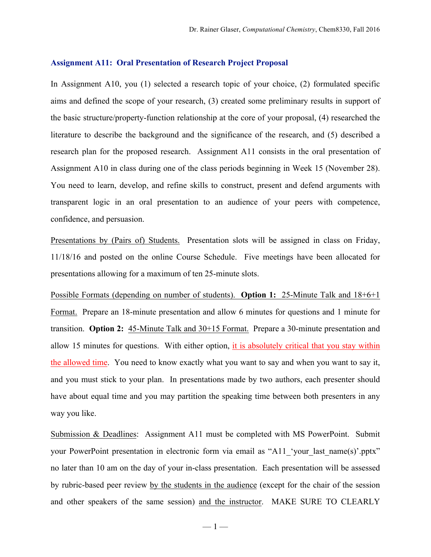## **Assignment A11: Oral Presentation of Research Project Proposal**

In Assignment A10, you (1) selected a research topic of your choice, (2) formulated specific aims and defined the scope of your research, (3) created some preliminary results in support of the basic structure/property-function relationship at the core of your proposal, (4) researched the literature to describe the background and the significance of the research, and (5) described a research plan for the proposed research. Assignment A11 consists in the oral presentation of Assignment A10 in class during one of the class periods beginning in Week 15 (November 28). You need to learn, develop, and refine skills to construct, present and defend arguments with transparent logic in an oral presentation to an audience of your peers with competence, confidence, and persuasion.

Presentations by (Pairs of) Students. Presentation slots will be assigned in class on Friday, 11/18/16 and posted on the online Course Schedule. Five meetings have been allocated for presentations allowing for a maximum of ten 25-minute slots.

Possible Formats (depending on number of students). **Option 1:** 25-Minute Talk and 18+6+1 Format. Prepare an 18-minute presentation and allow 6 minutes for questions and 1 minute for transition. **Option 2:** 45-Minute Talk and 30+15 Format. Prepare a 30-minute presentation and allow 15 minutes for questions. With either option, it is absolutely critical that you stay within the allowed time. You need to know exactly what you want to say and when you want to say it, and you must stick to your plan. In presentations made by two authors, each presenter should have about equal time and you may partition the speaking time between both presenters in any way you like.

Submission & Deadlines: Assignment A11 must be completed with MS PowerPoint. Submit your PowerPoint presentation in electronic form via email as "A11 'your last name(s)'.pptx" no later than 10 am on the day of your in-class presentation. Each presentation will be assessed by rubric-based peer review by the students in the audience (except for the chair of the session and other speakers of the same session) and the instructor. MAKE SURE TO CLEARLY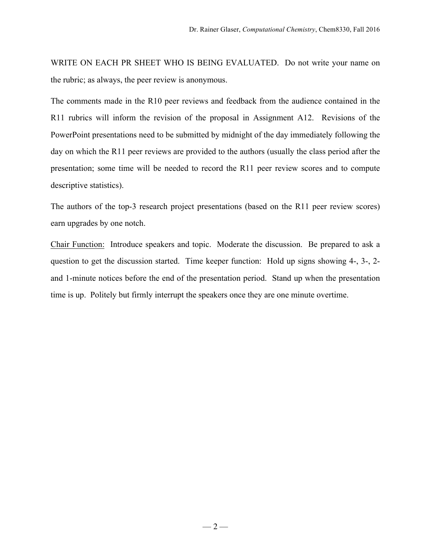WRITE ON EACH PR SHEET WHO IS BEING EVALUATED. Do not write your name on the rubric; as always, the peer review is anonymous.

The comments made in the R10 peer reviews and feedback from the audience contained in the R11 rubrics will inform the revision of the proposal in Assignment A12. Revisions of the PowerPoint presentations need to be submitted by midnight of the day immediately following the day on which the R11 peer reviews are provided to the authors (usually the class period after the presentation; some time will be needed to record the R11 peer review scores and to compute descriptive statistics).

The authors of the top-3 research project presentations (based on the R11 peer review scores) earn upgrades by one notch.

Chair Function: Introduce speakers and topic. Moderate the discussion. Be prepared to ask a question to get the discussion started. Time keeper function: Hold up signs showing 4-, 3-, 2 and 1-minute notices before the end of the presentation period. Stand up when the presentation time is up. Politely but firmly interrupt the speakers once they are one minute overtime.